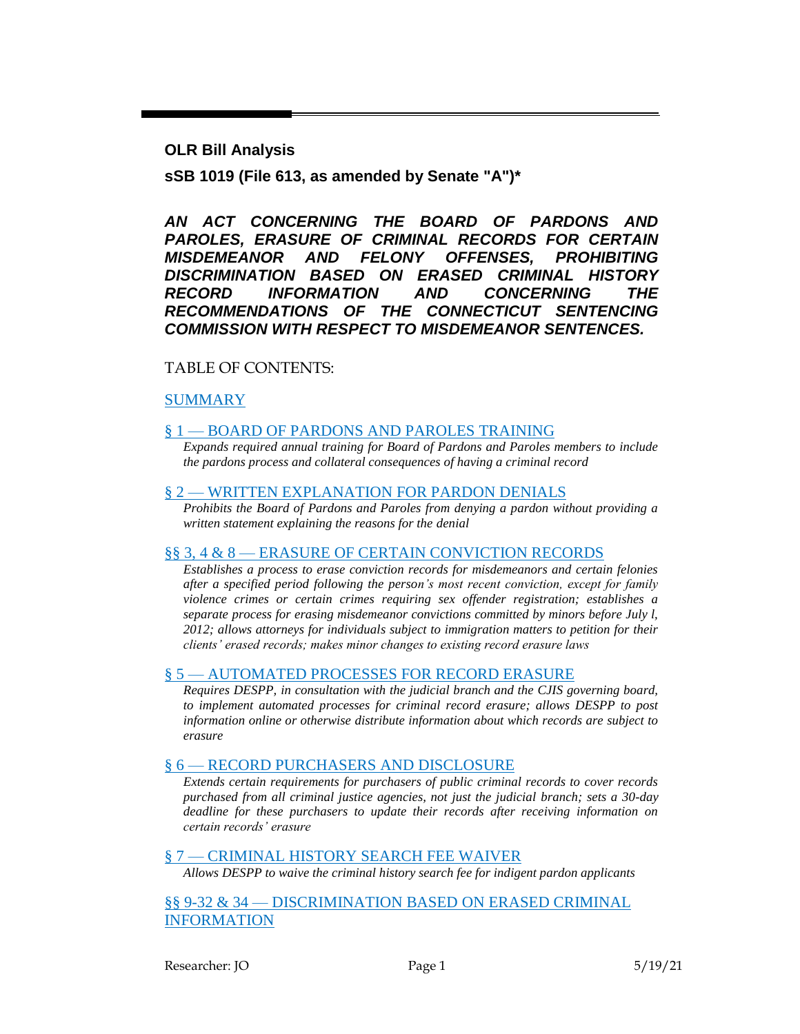**OLR Bill Analysis**

**sSB 1019 (File 613, as amended by Senate "A")\***

*AN ACT CONCERNING THE BOARD OF PARDONS AND PAROLES, ERASURE OF CRIMINAL RECORDS FOR CERTAIN MISDEMEANOR AND FELONY OFFENSES, PROHIBITING DISCRIMINATION BASED ON ERASED CRIMINAL HISTORY RECORD INFORMATION AND CONCERNING THE RECOMMENDATIONS OF THE CONNECTICUT SENTENCING COMMISSION WITH RESPECT TO MISDEMEANOR SENTENCES.*

#### TABLE OF CONTENTS:

### [SUMMARY](#page-1-0)

#### § 1 — [BOARD OF PARDONS AND](#page-2-0) PAROLES TRAINING

*[Expands required annual training for Board of Pardons and Paroles members to include](#page-2-1)  [the pardons process and collateral consequences of having a criminal record](#page-2-1)*

#### § 2 — [WRITTEN EXPLANATION FOR PARDON DENIALS](#page-3-0)

*[Prohibits the Board of Pardons and Paroles from denying a pardon without providing a](#page-3-1)  [written statement explaining the reasons for the](#page-3-1) denial*

#### §§ 3, 4 & 8 — [ERASURE OF CERTAIN CONVICTION RECORDS](#page-3-2)

*[Establishes a process to erase conviction records for misdemeanors and certain felonies](#page-3-3)  [after a specified period following the person's most recent conviction, except for family](#page-3-3)  [violence crimes or certain crimes requiring sex offender registration; establishes a](#page-3-3)  [separate process for erasing misdemeanor convictions committed by minors before July l,](#page-3-3)  [2012; allows attorneys for individuals subject to immigration matters to petition for their](#page-3-3)  [clients' erased records; makes minor changes to existing record erasure laws](#page-3-3)*

#### § 5 — [AUTOMATED PROCESSES FOR RECORD ERASURE](#page-8-0)

*Requires DESPP, [in consultation with the judicial branch and the CJIS governing board,](#page-8-1)  [to implement automated processes for criminal record erasure; allows DESPP to post](#page-8-1)  [information online or otherwise distribute information about which records are subject to](#page-8-1)  [erasure](#page-8-1)*

#### § 6 — [RECORD PURCHASERS AND DISCLOSURE](#page-8-2)

*[Extends certain requirements for purchasers of public criminal records to cover records](#page-8-3)  [purchased from all criminal justice agencies, not just the judicial branch; sets a 30-day](#page-8-3)  [deadline for these purchasers to update their records after receiving information on](#page-8-3)  [certain records' erasure](#page-8-3)*

#### § 7 — [CRIMINAL HISTORY SEARCH FEE WAIVER](#page-9-0)

*[Allows DESPP to waive the criminal history search fee for indigent pardon applicants](#page-9-1)*

§§ 9-32 & 34 — [DISCRIMINATION BASED](#page-9-2) ON ERASED CRIMINAL [INFORMATION](#page-9-2)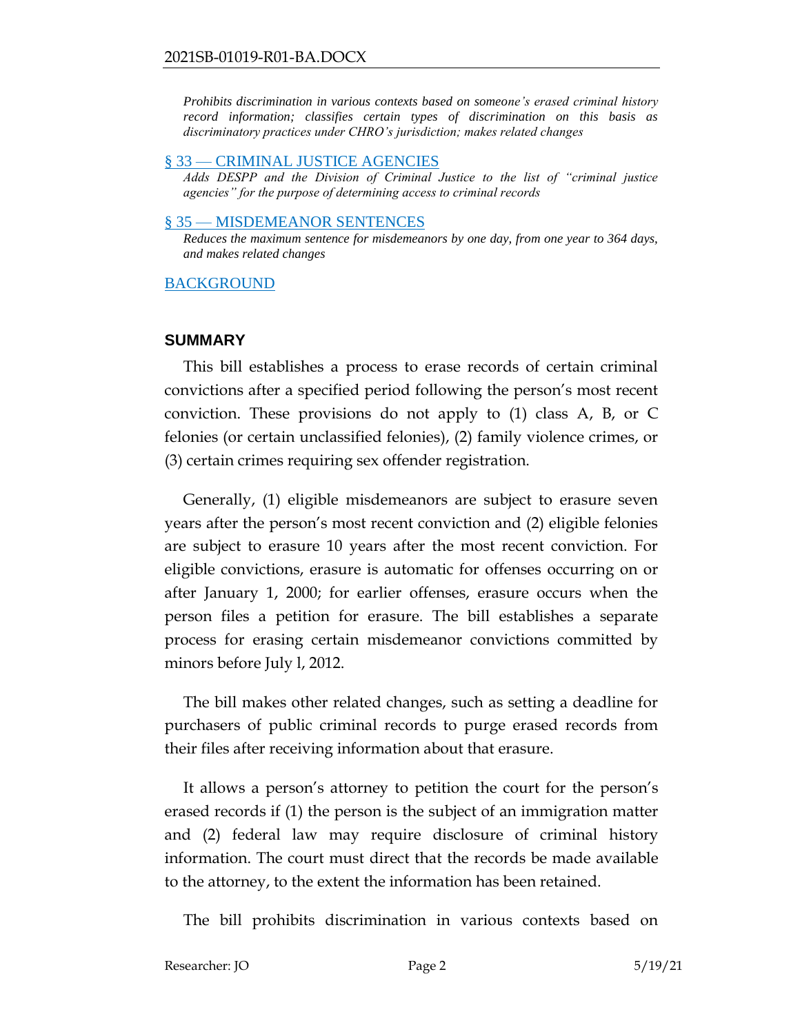*[Prohibits discrimination in various contexts based on someone's erased criminal history](#page-10-0)  [record information; classifies certain types of discrimination on this basis as](#page-10-0)  [discriminatory practices under CHRO's jurisdiction; makes related changes](#page-10-0)*

#### § 33 — [CRIMINAL JUSTICE AGENCIES](#page-17-0)

*[Adds DESPP and the Division of Criminal Justice to the list of "criminal justice](#page-17-1)  [agencies" for the purpose of determining access to criminal records](#page-17-1)*

#### § 35 — [MISDEMEANOR SENTENCES](#page-18-0)

*[Reduces the maximum sentence for misdemeanors by one day, from one year to 364 days,](#page-18-1)  [and makes related changes](#page-18-1)*

#### **[BACKGROUND](#page-18-2)**

#### <span id="page-1-0"></span>**SUMMARY**

This bill establishes a process to erase records of certain criminal convictions after a specified period following the person's most recent conviction. These provisions do not apply to (1) class A, B, or C felonies (or certain unclassified felonies), (2) family violence crimes, or (3) certain crimes requiring sex offender registration.

Generally, (1) eligible misdemeanors are subject to erasure seven years after the person's most recent conviction and (2) eligible felonies are subject to erasure 10 years after the most recent conviction. For eligible convictions, erasure is automatic for offenses occurring on or after January 1, 2000; for earlier offenses, erasure occurs when the person files a petition for erasure. The bill establishes a separate process for erasing certain misdemeanor convictions committed by minors before July l, 2012.

The bill makes other related changes, such as setting a deadline for purchasers of public criminal records to purge erased records from their files after receiving information about that erasure.

It allows a person's attorney to petition the court for the person's erased records if (1) the person is the subject of an immigration matter and (2) federal law may require disclosure of criminal history information. The court must direct that the records be made available to the attorney, to the extent the information has been retained.

The bill prohibits discrimination in various contexts based on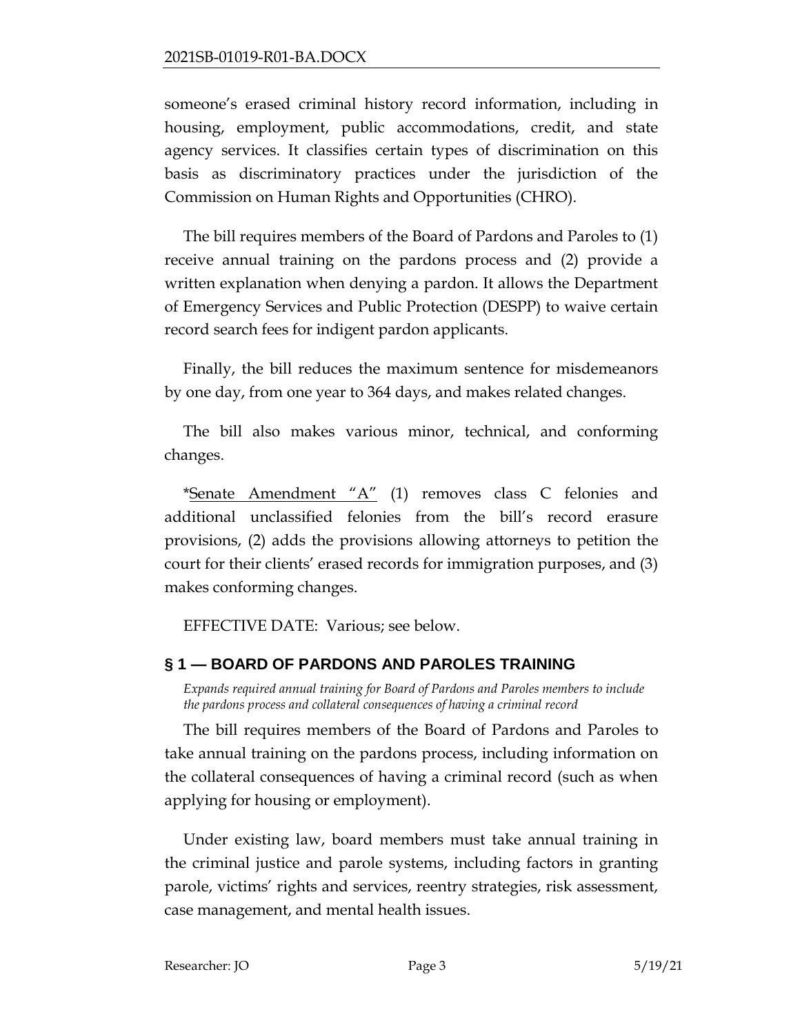someone's erased criminal history record information, including in housing, employment, public accommodations, credit, and state agency services. It classifies certain types of discrimination on this basis as discriminatory practices under the jurisdiction of the Commission on Human Rights and Opportunities (CHRO).

The bill requires members of the Board of Pardons and Paroles to (1) receive annual training on the pardons process and (2) provide a written explanation when denying a pardon. It allows the Department of Emergency Services and Public Protection (DESPP) to waive certain record search fees for indigent pardon applicants.

Finally, the bill reduces the maximum sentence for misdemeanors by one day, from one year to 364 days, and makes related changes.

The bill also makes various minor, technical, and conforming changes.

\*Senate Amendment  $A''$  (1) removes class C felonies and additional unclassified felonies from the bill's record erasure provisions, (2) adds the provisions allowing attorneys to petition the court for their clients' erased records for immigration purposes, and (3) makes conforming changes.

EFFECTIVE DATE: Various; see below.

# <span id="page-2-0"></span>**§ 1 — BOARD OF PARDONS AND PAROLES TRAINING**

<span id="page-2-1"></span>*Expands required annual training for Board of Pardons and Paroles members to include the pardons process and collateral consequences of having a criminal record* 

The bill requires members of the Board of Pardons and Paroles to take annual training on the pardons process, including information on the collateral consequences of having a criminal record (such as when applying for housing or employment).

Under existing law, board members must take annual training in the criminal justice and parole systems, including factors in granting parole, victims' rights and services, reentry strategies, risk assessment, case management, and mental health issues.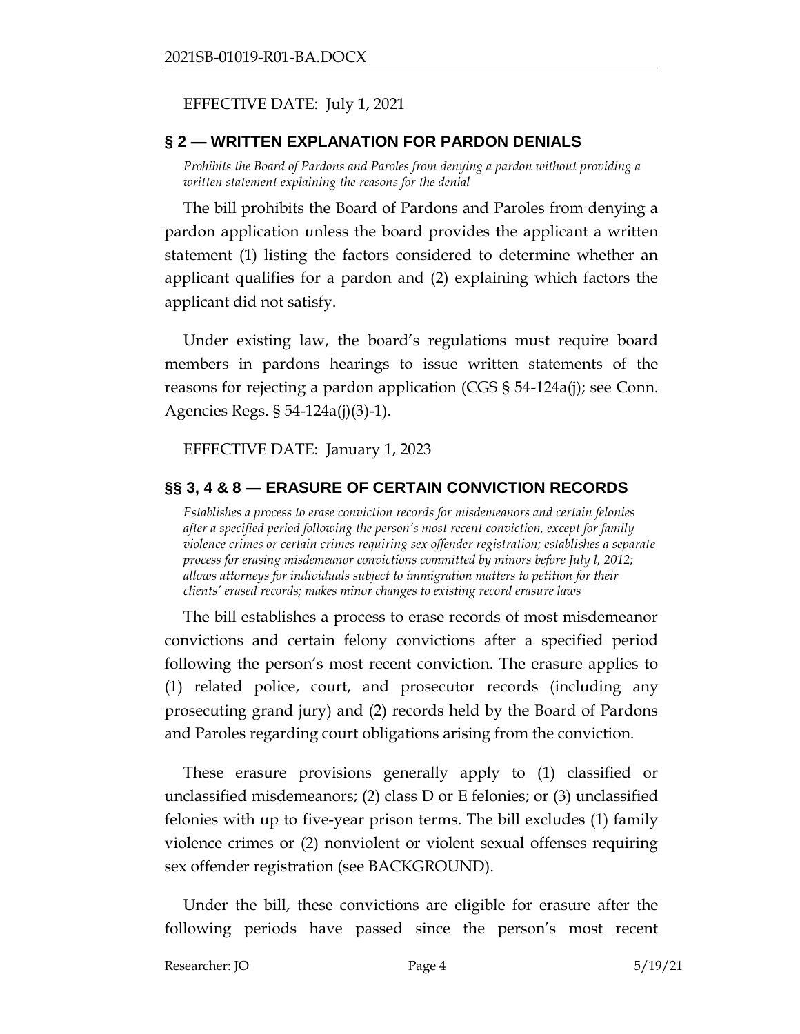### EFFECTIVE DATE: July 1, 2021

### <span id="page-3-0"></span>**§ 2 — WRITTEN EXPLANATION FOR PARDON DENIALS**

<span id="page-3-1"></span>*Prohibits the Board of Pardons and Paroles from denying a pardon without providing a written statement explaining the reasons for the denial*

The bill prohibits the Board of Pardons and Paroles from denying a pardon application unless the board provides the applicant a written statement (1) listing the factors considered to determine whether an applicant qualifies for a pardon and (2) explaining which factors the applicant did not satisfy.

Under existing law, the board's regulations must require board members in pardons hearings to issue written statements of the reasons for rejecting a pardon application (CGS § 54-124a(j); see Conn. Agencies Regs. § 54-124a(j)(3)-1).

#### EFFECTIVE DATE: January 1, 2023

#### <span id="page-3-2"></span>**§§ 3, 4 & 8 — ERASURE OF CERTAIN CONVICTION RECORDS**

<span id="page-3-3"></span>*Establishes a process to erase conviction records for misdemeanors and certain felonies after a specified period following the person's most recent conviction, except for family violence crimes or certain crimes requiring sex offender registration; establishes a separate process for erasing misdemeanor convictions committed by minors before July l, 2012; allows attorneys for individuals subject to immigration matters to petition for their clients' erased records; makes minor changes to existing record erasure laws*

The bill establishes a process to erase records of most misdemeanor convictions and certain felony convictions after a specified period following the person's most recent conviction. The erasure applies to (1) related police, court, and prosecutor records (including any prosecuting grand jury) and (2) records held by the Board of Pardons and Paroles regarding court obligations arising from the conviction.

These erasure provisions generally apply to (1) classified or unclassified misdemeanors; (2) class D or E felonies; or (3) unclassified felonies with up to five-year prison terms. The bill excludes (1) family violence crimes or (2) nonviolent or violent sexual offenses requiring sex offender registration (see BACKGROUND).

Under the bill, these convictions are eligible for erasure after the following periods have passed since the person's most recent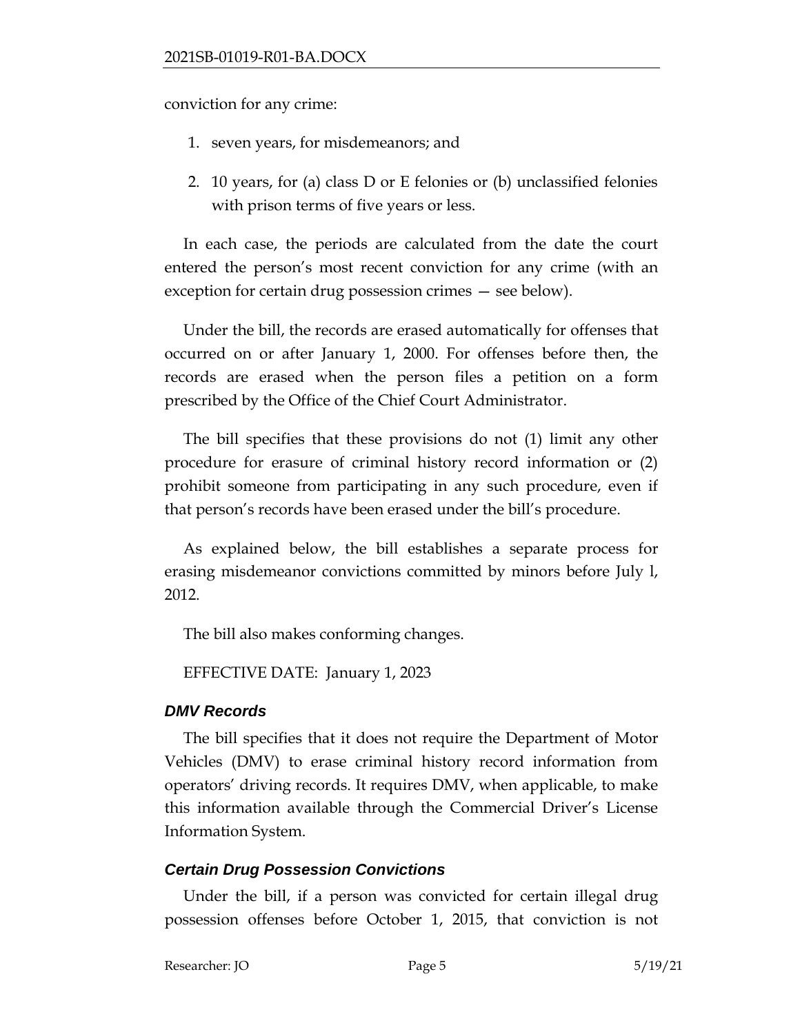conviction for any crime:

- 1. seven years, for misdemeanors; and
- 2. 10 years, for (a) class D or E felonies or (b) unclassified felonies with prison terms of five years or less.

In each case, the periods are calculated from the date the court entered the person's most recent conviction for any crime (with an exception for certain drug possession crimes — see below).

Under the bill, the records are erased automatically for offenses that occurred on or after January 1, 2000. For offenses before then, the records are erased when the person files a petition on a form prescribed by the Office of the Chief Court Administrator.

The bill specifies that these provisions do not (1) limit any other procedure for erasure of criminal history record information or (2) prohibit someone from participating in any such procedure, even if that person's records have been erased under the bill's procedure.

As explained below, the bill establishes a separate process for erasing misdemeanor convictions committed by minors before July l, 2012.

The bill also makes conforming changes.

EFFECTIVE DATE: January 1, 2023

# *DMV Records*

The bill specifies that it does not require the Department of Motor Vehicles (DMV) to erase criminal history record information from operators' driving records. It requires DMV, when applicable, to make this information available through the Commercial Driver's License Information System.

# *Certain Drug Possession Convictions*

Under the bill, if a person was convicted for certain illegal drug possession offenses before October 1, 2015, that conviction is not

Researcher: JO Page 5 5/19/21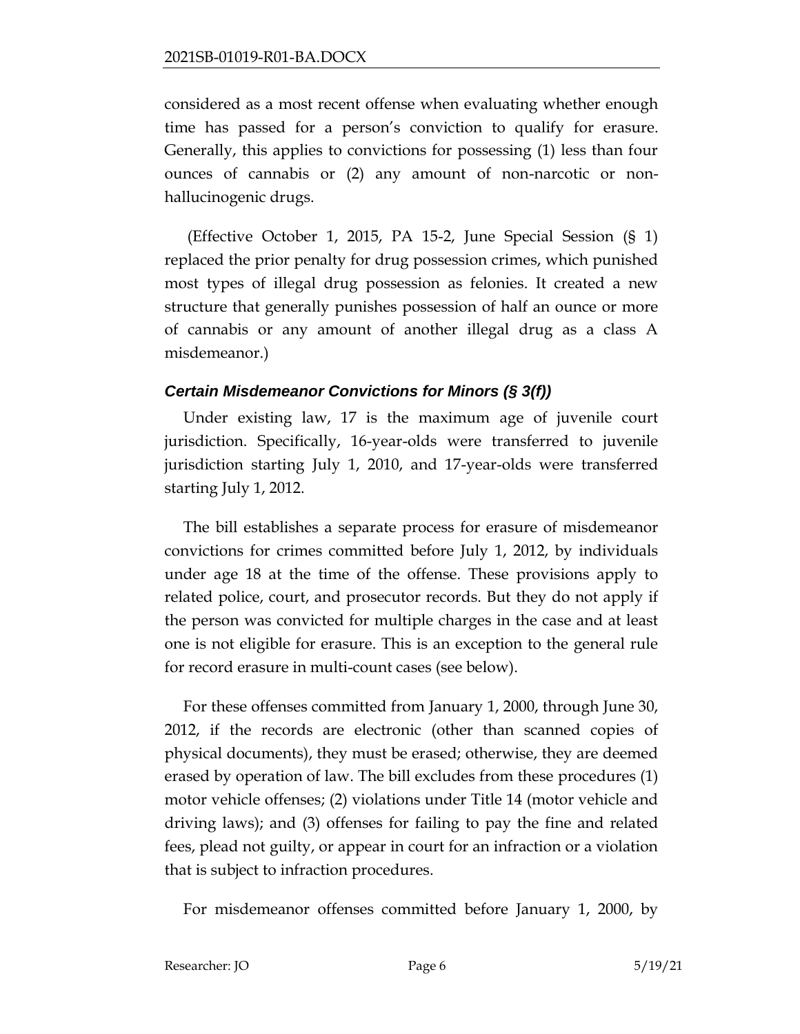considered as a most recent offense when evaluating whether enough time has passed for a person's conviction to qualify for erasure. Generally, this applies to convictions for possessing (1) less than four ounces of cannabis or (2) any amount of non-narcotic or nonhallucinogenic drugs.

(Effective October 1, 2015, PA 15-2, June Special Session (§ 1) replaced the prior penalty for drug possession crimes, which punished most types of illegal drug possession as felonies. It created a new structure that generally punishes possession of half an ounce or more of cannabis or any amount of another illegal drug as a class A misdemeanor.)

### *Certain Misdemeanor Convictions for Minors (§ 3(f))*

Under existing law, 17 is the maximum age of juvenile court jurisdiction. Specifically, 16-year-olds were transferred to juvenile jurisdiction starting July 1, 2010, and 17-year-olds were transferred starting July 1, 2012.

The bill establishes a separate process for erasure of misdemeanor convictions for crimes committed before July 1, 2012, by individuals under age 18 at the time of the offense. These provisions apply to related police, court, and prosecutor records. But they do not apply if the person was convicted for multiple charges in the case and at least one is not eligible for erasure. This is an exception to the general rule for record erasure in multi-count cases (see below).

For these offenses committed from January 1, 2000, through June 30, 2012, if the records are electronic (other than scanned copies of physical documents), they must be erased; otherwise, they are deemed erased by operation of law. The bill excludes from these procedures (1) motor vehicle offenses; (2) violations under Title 14 (motor vehicle and driving laws); and (3) offenses for failing to pay the fine and related fees, plead not guilty, or appear in court for an infraction or a violation that is subject to infraction procedures.

For misdemeanor offenses committed before January 1, 2000, by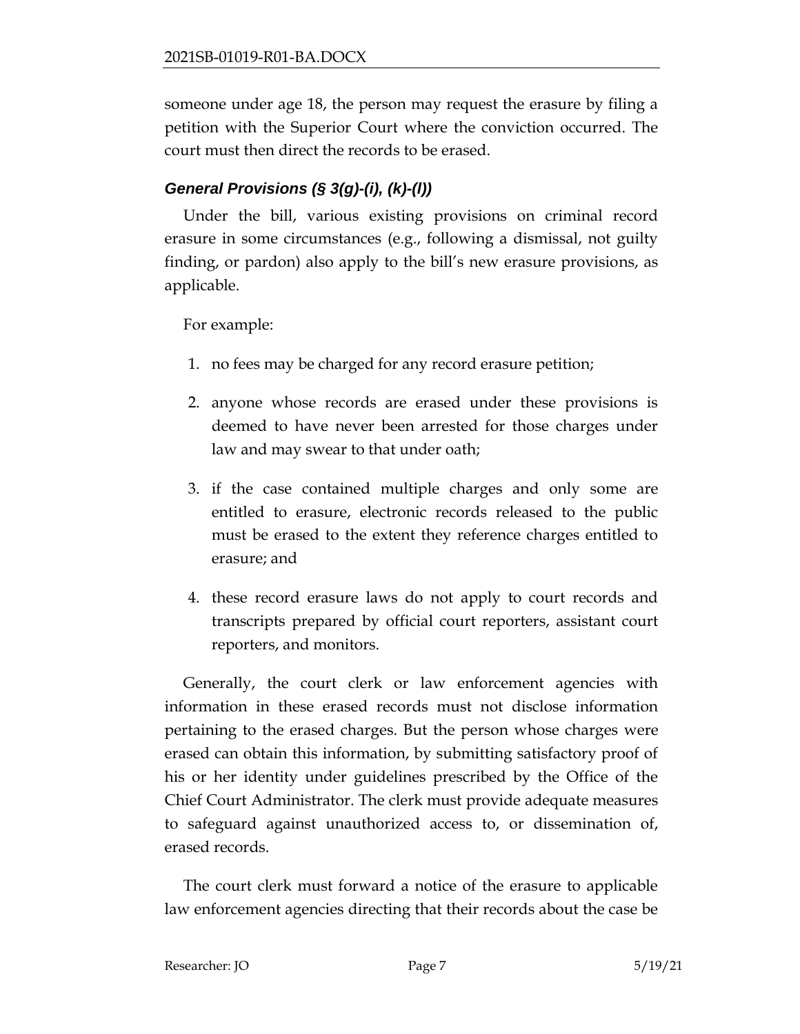someone under age 18, the person may request the erasure by filing a petition with the Superior Court where the conviction occurred. The court must then direct the records to be erased.

# *General Provisions (§ 3(g)-(i), (k)-(l))*

Under the bill, various existing provisions on criminal record erasure in some circumstances (e.g., following a dismissal, not guilty finding, or pardon) also apply to the bill's new erasure provisions, as applicable.

For example:

- 1. no fees may be charged for any record erasure petition;
- 2. anyone whose records are erased under these provisions is deemed to have never been arrested for those charges under law and may swear to that under oath;
- 3. if the case contained multiple charges and only some are entitled to erasure, electronic records released to the public must be erased to the extent they reference charges entitled to erasure; and
- 4. these record erasure laws do not apply to court records and transcripts prepared by official court reporters, assistant court reporters, and monitors.

Generally, the court clerk or law enforcement agencies with information in these erased records must not disclose information pertaining to the erased charges. But the person whose charges were erased can obtain this information, by submitting satisfactory proof of his or her identity under guidelines prescribed by the Office of the Chief Court Administrator. The clerk must provide adequate measures to safeguard against unauthorized access to, or dissemination of, erased records.

The court clerk must forward a notice of the erasure to applicable law enforcement agencies directing that their records about the case be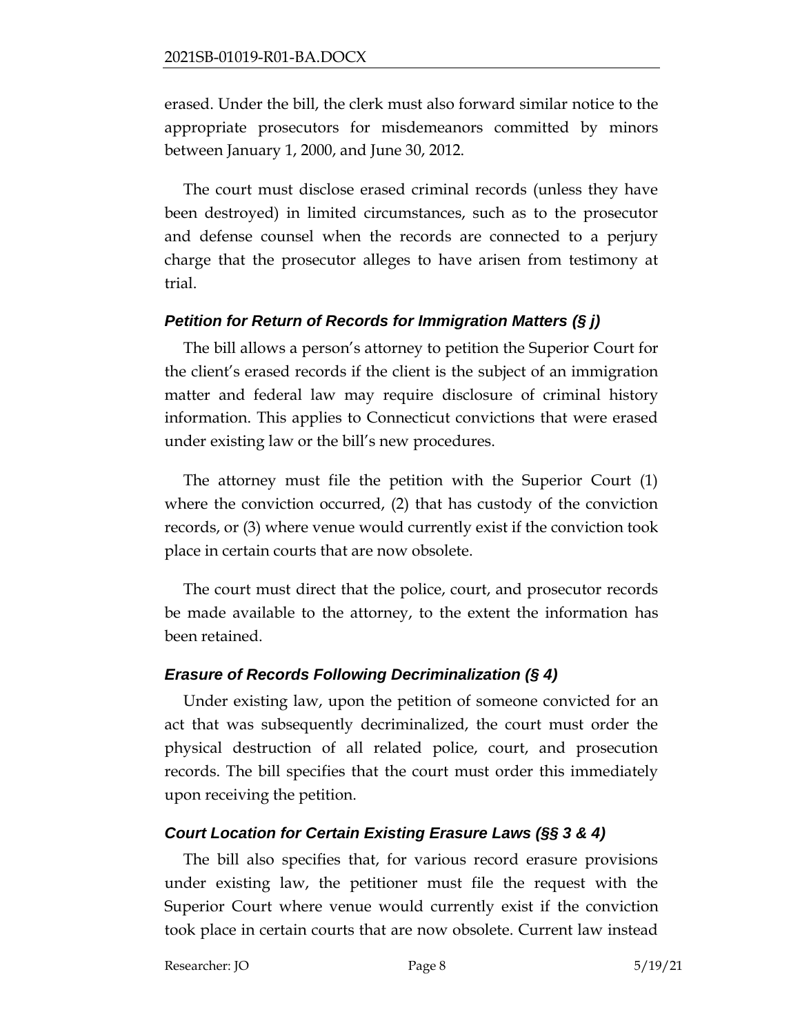erased. Under the bill, the clerk must also forward similar notice to the appropriate prosecutors for misdemeanors committed by minors between January 1, 2000, and June 30, 2012.

The court must disclose erased criminal records (unless they have been destroyed) in limited circumstances, such as to the prosecutor and defense counsel when the records are connected to a perjury charge that the prosecutor alleges to have arisen from testimony at trial.

### *Petition for Return of Records for Immigration Matters (§ j)*

The bill allows a person's attorney to petition the Superior Court for the client's erased records if the client is the subject of an immigration matter and federal law may require disclosure of criminal history information. This applies to Connecticut convictions that were erased under existing law or the bill's new procedures.

The attorney must file the petition with the Superior Court (1) where the conviction occurred, (2) that has custody of the conviction records, or (3) where venue would currently exist if the conviction took place in certain courts that are now obsolete.

The court must direct that the police, court, and prosecutor records be made available to the attorney, to the extent the information has been retained.

# *Erasure of Records Following Decriminalization (§ 4)*

Under existing law, upon the petition of someone convicted for an act that was subsequently decriminalized, the court must order the physical destruction of all related police, court, and prosecution records. The bill specifies that the court must order this immediately upon receiving the petition.

# *Court Location for Certain Existing Erasure Laws (§§ 3 & 4)*

The bill also specifies that, for various record erasure provisions under existing law, the petitioner must file the request with the Superior Court where venue would currently exist if the conviction took place in certain courts that are now obsolete. Current law instead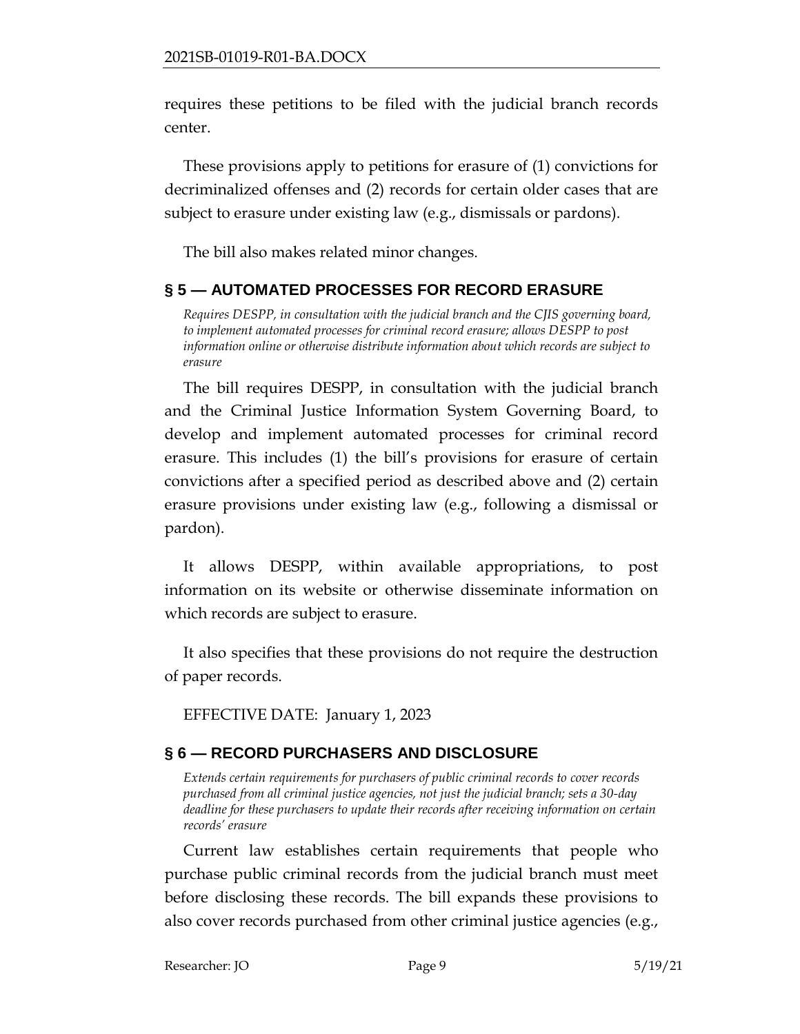requires these petitions to be filed with the judicial branch records center.

These provisions apply to petitions for erasure of (1) convictions for decriminalized offenses and (2) records for certain older cases that are subject to erasure under existing law (e.g., dismissals or pardons).

The bill also makes related minor changes.

### <span id="page-8-0"></span>**§ 5 — AUTOMATED PROCESSES FOR RECORD ERASURE**

<span id="page-8-1"></span>*Requires DESPP, in consultation with the judicial branch and the CJIS governing board, to implement automated processes for criminal record erasure; allows DESPP to post information online or otherwise distribute information about which records are subject to erasure*

The bill requires DESPP, in consultation with the judicial branch and the Criminal Justice Information System Governing Board, to develop and implement automated processes for criminal record erasure. This includes (1) the bill's provisions for erasure of certain convictions after a specified period as described above and (2) certain erasure provisions under existing law (e.g., following a dismissal or pardon).

It allows DESPP, within available appropriations, to post information on its website or otherwise disseminate information on which records are subject to erasure.

It also specifies that these provisions do not require the destruction of paper records.

EFFECTIVE DATE: January 1, 2023

# <span id="page-8-2"></span>**§ 6 — RECORD PURCHASERS AND DISCLOSURE**

<span id="page-8-3"></span>*Extends certain requirements for purchasers of public criminal records to cover records purchased from all criminal justice agencies, not just the judicial branch; sets a 30-day deadline for these purchasers to update their records after receiving information on certain records' erasure* 

Current law establishes certain requirements that people who purchase public criminal records from the judicial branch must meet before disclosing these records. The bill expands these provisions to also cover records purchased from other criminal justice agencies (e.g.,

Researcher: JO Page 9 5/19/21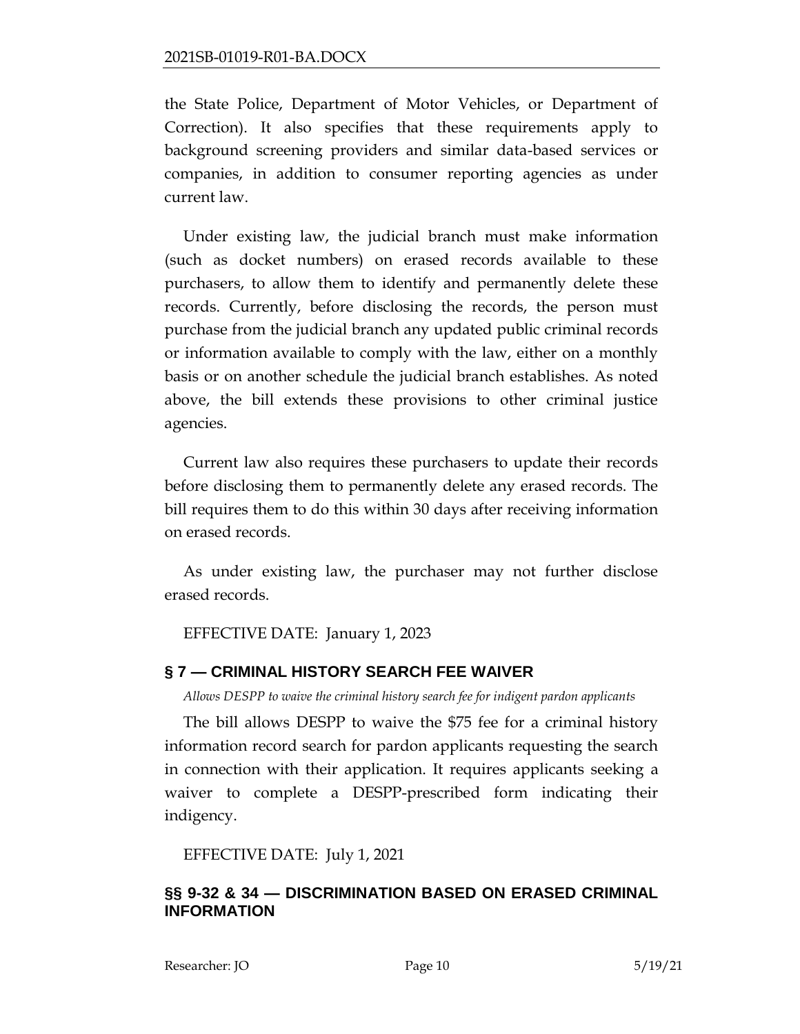the State Police, Department of Motor Vehicles, or Department of Correction). It also specifies that these requirements apply to background screening providers and similar data-based services or companies, in addition to consumer reporting agencies as under current law.

Under existing law, the judicial branch must make information (such as docket numbers) on erased records available to these purchasers, to allow them to identify and permanently delete these records. Currently, before disclosing the records, the person must purchase from the judicial branch any updated public criminal records or information available to comply with the law, either on a monthly basis or on another schedule the judicial branch establishes. As noted above, the bill extends these provisions to other criminal justice agencies.

Current law also requires these purchasers to update their records before disclosing them to permanently delete any erased records. The bill requires them to do this within 30 days after receiving information on erased records.

As under existing law, the purchaser may not further disclose erased records.

EFFECTIVE DATE: January 1, 2023

# <span id="page-9-0"></span>**§ 7 — CRIMINAL HISTORY SEARCH FEE WAIVER**

<span id="page-9-1"></span>*Allows DESPP to waive the criminal history search fee for indigent pardon applicants* 

The bill allows DESPP to waive the \$75 fee for a criminal history information record search for pardon applicants requesting the search in connection with their application. It requires applicants seeking a waiver to complete a DESPP-prescribed form indicating their indigency.

EFFECTIVE DATE: July 1, 2021

# <span id="page-9-2"></span>**§§ 9-32 & 34 — DISCRIMINATION BASED ON ERASED CRIMINAL INFORMATION**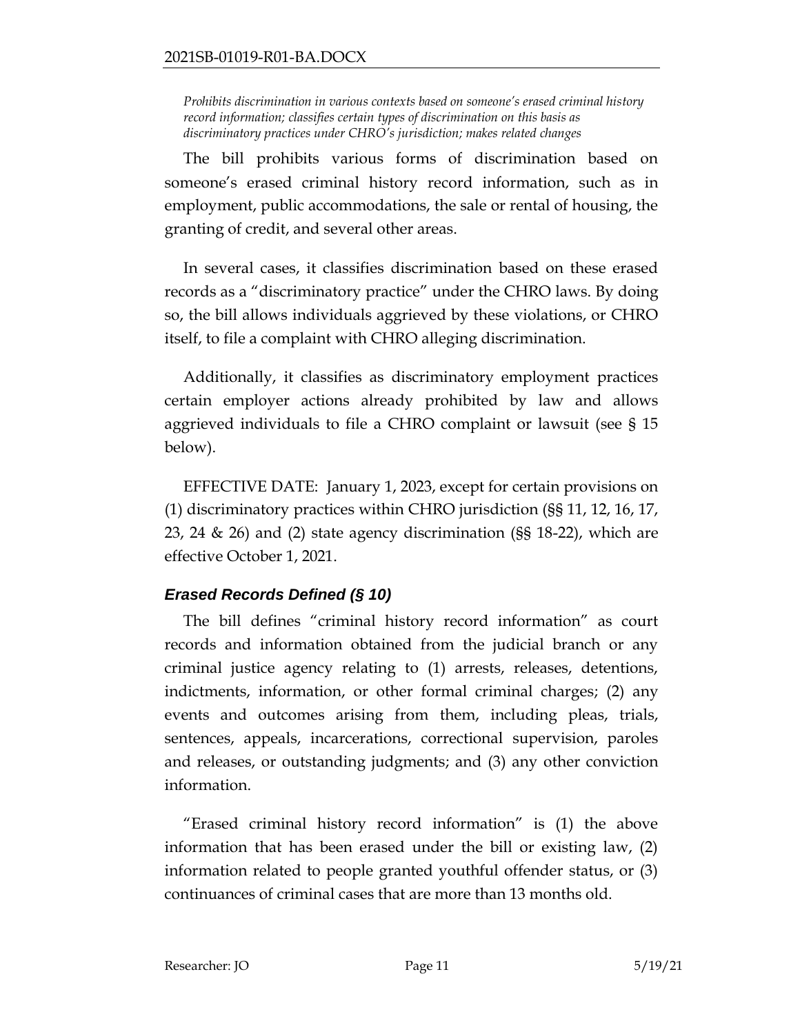<span id="page-10-0"></span>*Prohibits discrimination in various contexts based on someone's erased criminal history record information; classifies certain types of discrimination on this basis as discriminatory practices under CHRO's jurisdiction; makes related changes* 

The bill prohibits various forms of discrimination based on someone's erased criminal history record information, such as in employment, public accommodations, the sale or rental of housing, the granting of credit, and several other areas.

In several cases, it classifies discrimination based on these erased records as a "discriminatory practice" under the CHRO laws. By doing so, the bill allows individuals aggrieved by these violations, or CHRO itself, to file a complaint with CHRO alleging discrimination.

Additionally, it classifies as discriminatory employment practices certain employer actions already prohibited by law and allows aggrieved individuals to file a CHRO complaint or lawsuit (see § 15 below).

EFFECTIVE DATE: January 1, 2023, except for certain provisions on (1) discriminatory practices within CHRO jurisdiction (§§ 11, 12, 16, 17, 23, 24 & 26) and (2) state agency discrimination (§§ 18-22), which are effective October 1, 2021.

# *Erased Records Defined (§ 10)*

The bill defines "criminal history record information" as court records and information obtained from the judicial branch or any criminal justice agency relating to (1) arrests, releases, detentions, indictments, information, or other formal criminal charges; (2) any events and outcomes arising from them, including pleas, trials, sentences, appeals, incarcerations, correctional supervision, paroles and releases, or outstanding judgments; and (3) any other conviction information.

"Erased criminal history record information" is (1) the above information that has been erased under the bill or existing law, (2) information related to people granted youthful offender status, or (3) continuances of criminal cases that are more than 13 months old.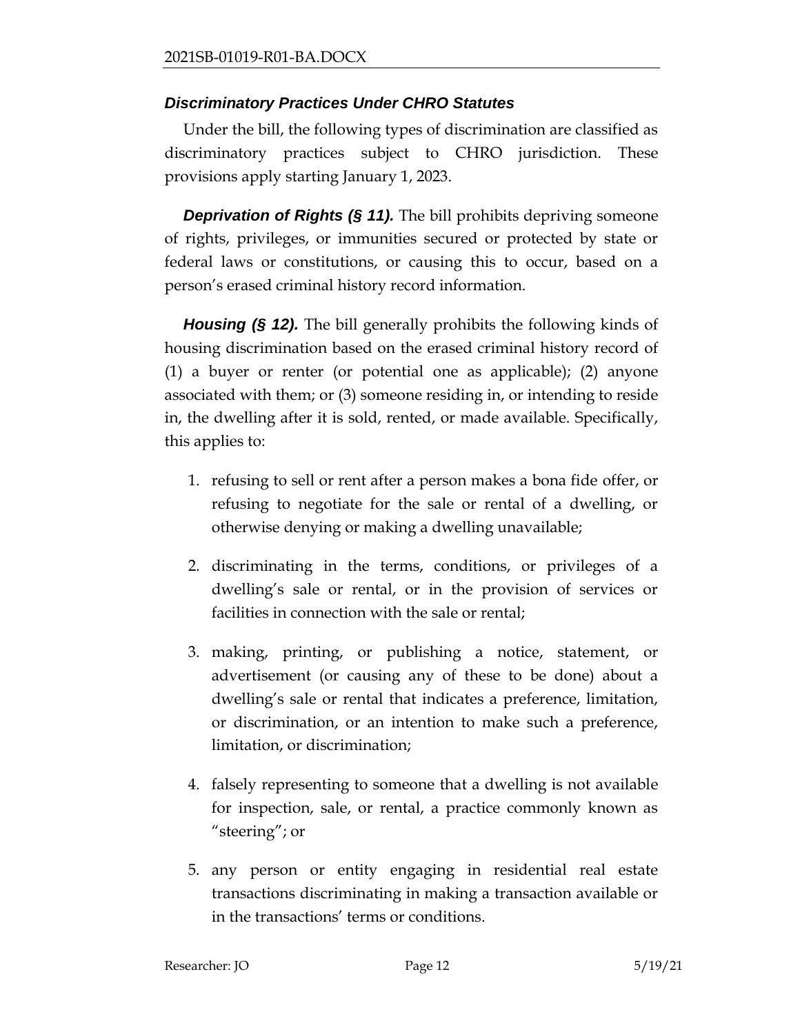# *Discriminatory Practices Under CHRO Statutes*

Under the bill, the following types of discrimination are classified as discriminatory practices subject to CHRO jurisdiction. These provisions apply starting January 1, 2023.

**Deprivation of Rights (§ 11).** The bill prohibits depriving someone of rights, privileges, or immunities secured or protected by state or federal laws or constitutions, or causing this to occur, based on a person's erased criminal history record information.

*Housing (§ 12).* The bill generally prohibits the following kinds of housing discrimination based on the erased criminal history record of (1) a buyer or renter (or potential one as applicable); (2) anyone associated with them; or (3) someone residing in, or intending to reside in, the dwelling after it is sold, rented, or made available. Specifically, this applies to:

- 1. refusing to sell or rent after a person makes a bona fide offer, or refusing to negotiate for the sale or rental of a dwelling, or otherwise denying or making a dwelling unavailable;
- 2. discriminating in the terms, conditions, or privileges of a dwelling's sale or rental, or in the provision of services or facilities in connection with the sale or rental;
- 3. making, printing, or publishing a notice, statement, or advertisement (or causing any of these to be done) about a dwelling's sale or rental that indicates a preference, limitation, or discrimination, or an intention to make such a preference, limitation, or discrimination;
- 4. falsely representing to someone that a dwelling is not available for inspection, sale, or rental, a practice commonly known as "steering"; or
- 5. any person or entity engaging in residential real estate transactions discriminating in making a transaction available or in the transactions' terms or conditions.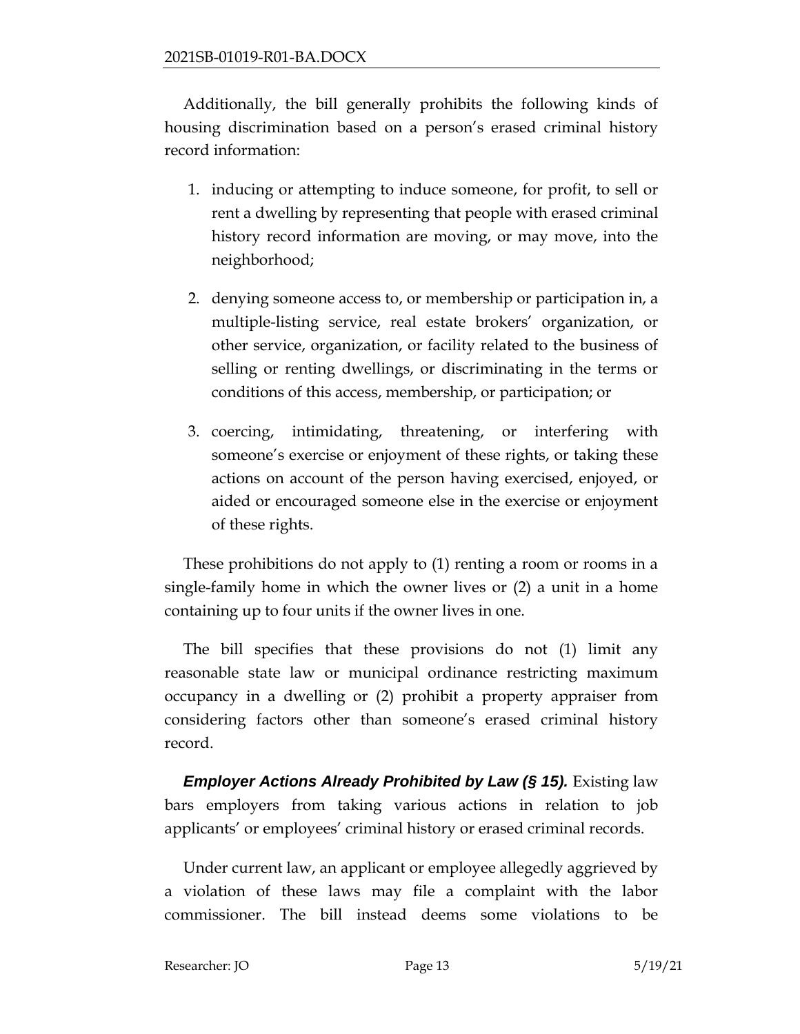Additionally, the bill generally prohibits the following kinds of housing discrimination based on a person's erased criminal history record information:

- 1. inducing or attempting to induce someone, for profit, to sell or rent a dwelling by representing that people with erased criminal history record information are moving, or may move, into the neighborhood;
- 2. denying someone access to, or membership or participation in, a multiple-listing service, real estate brokers' organization, or other service, organization, or facility related to the business of selling or renting dwellings, or discriminating in the terms or conditions of this access, membership, or participation; or
- 3. coercing, intimidating, threatening, or interfering with someone's exercise or enjoyment of these rights, or taking these actions on account of the person having exercised, enjoyed, or aided or encouraged someone else in the exercise or enjoyment of these rights.

These prohibitions do not apply to (1) renting a room or rooms in a single-family home in which the owner lives or (2) a unit in a home containing up to four units if the owner lives in one.

The bill specifies that these provisions do not (1) limit any reasonable state law or municipal ordinance restricting maximum occupancy in a dwelling or (2) prohibit a property appraiser from considering factors other than someone's erased criminal history record.

*Employer Actions Already Prohibited by Law (§ 15). Existing law* bars employers from taking various actions in relation to job applicants' or employees' criminal history or erased criminal records.

Under current law, an applicant or employee allegedly aggrieved by a violation of these laws may file a complaint with the labor commissioner. The bill instead deems some violations to be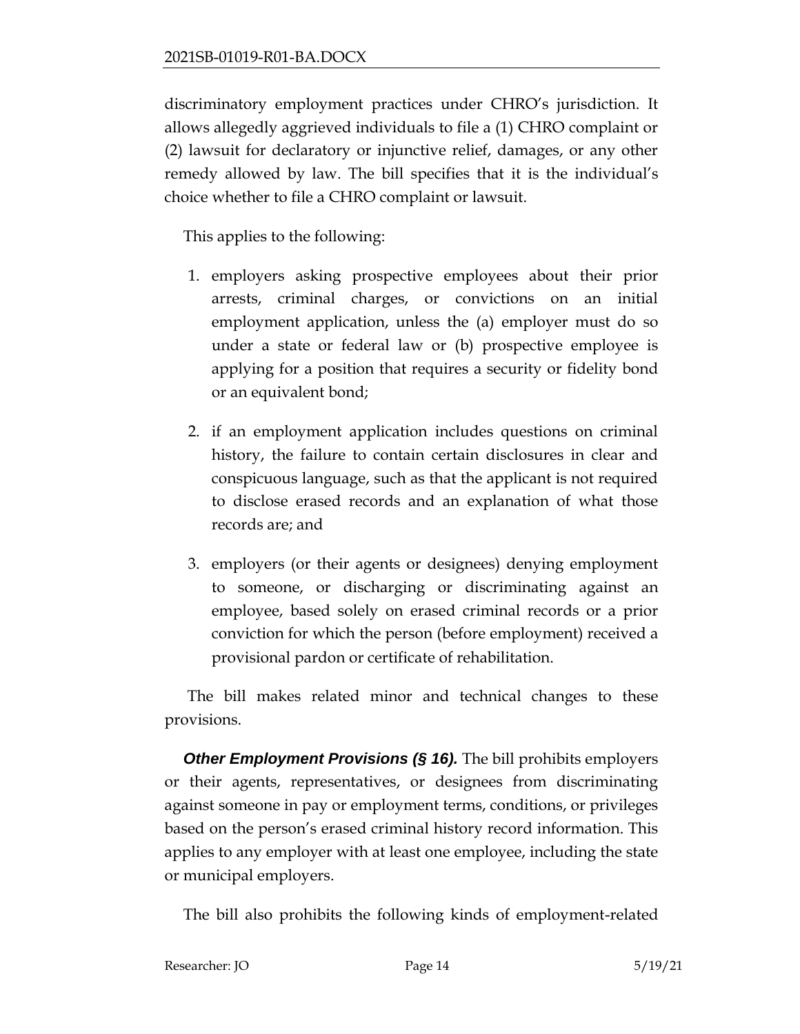discriminatory employment practices under CHRO's jurisdiction. It allows allegedly aggrieved individuals to file a (1) CHRO complaint or (2) lawsuit for declaratory or injunctive relief, damages, or any other remedy allowed by law. The bill specifies that it is the individual's choice whether to file a CHRO complaint or lawsuit.

This applies to the following:

- 1. employers asking prospective employees about their prior arrests, criminal charges, or convictions on an initial employment application, unless the (a) employer must do so under a state or federal law or (b) prospective employee is applying for a position that requires a security or fidelity bond or an equivalent bond;
- 2. if an employment application includes questions on criminal history, the failure to contain certain disclosures in clear and conspicuous language, such as that the applicant is not required to disclose erased records and an explanation of what those records are; and
- 3. employers (or their agents or designees) denying employment to someone, or discharging or discriminating against an employee, based solely on erased criminal records or a prior conviction for which the person (before employment) received a provisional pardon or certificate of rehabilitation.

The bill makes related minor and technical changes to these provisions.

**Other Employment Provisions (§ 16).** The bill prohibits employers or their agents, representatives, or designees from discriminating against someone in pay or employment terms, conditions, or privileges based on the person's erased criminal history record information. This applies to any employer with at least one employee, including the state or municipal employers.

The bill also prohibits the following kinds of employment-related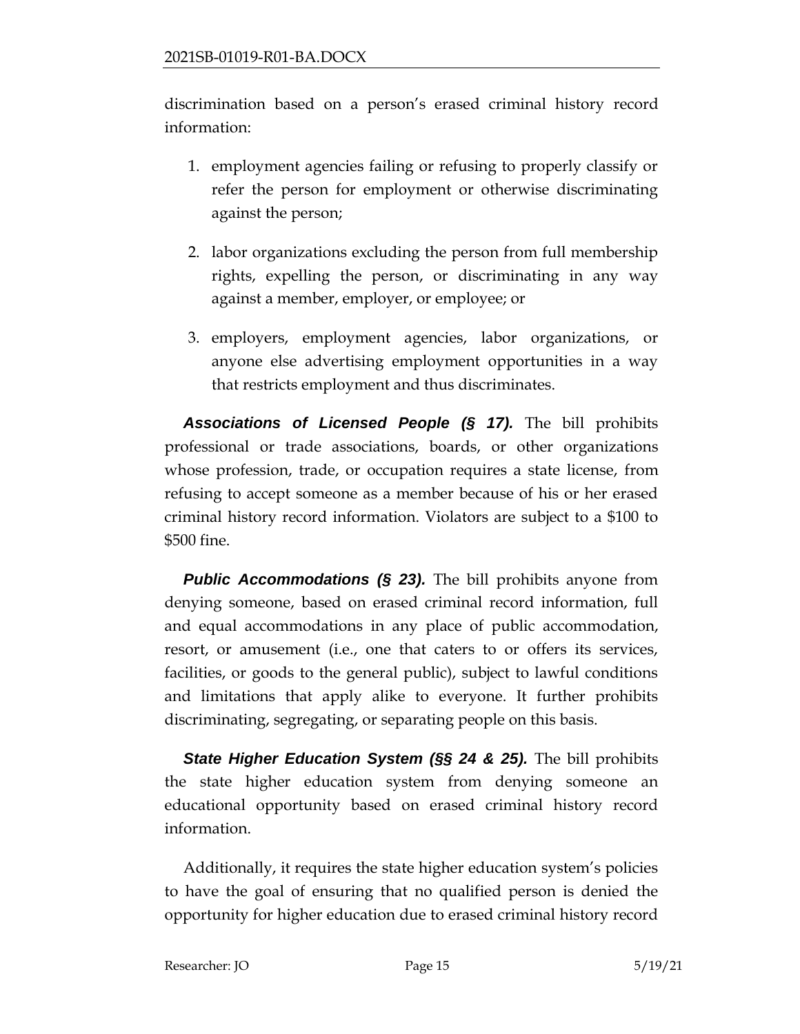discrimination based on a person's erased criminal history record information:

- 1. employment agencies failing or refusing to properly classify or refer the person for employment or otherwise discriminating against the person;
- 2. labor organizations excluding the person from full membership rights, expelling the person, or discriminating in any way against a member, employer, or employee; or
- 3. employers, employment agencies, labor organizations, or anyone else advertising employment opportunities in a way that restricts employment and thus discriminates.

*Associations of Licensed People (§ 17).* The bill prohibits professional or trade associations, boards, or other organizations whose profession, trade, or occupation requires a state license, from refusing to accept someone as a member because of his or her erased criminal history record information. Violators are subject to a \$100 to \$500 fine.

*Public Accommodations (§ 23).* The bill prohibits anyone from denying someone, based on erased criminal record information, full and equal accommodations in any place of public accommodation, resort, or amusement (i.e., one that caters to or offers its services, facilities, or goods to the general public), subject to lawful conditions and limitations that apply alike to everyone. It further prohibits discriminating, segregating, or separating people on this basis.

*State Higher Education System (§§ 24 & 25).* The bill prohibits the state higher education system from denying someone an educational opportunity based on erased criminal history record information.

Additionally, it requires the state higher education system's policies to have the goal of ensuring that no qualified person is denied the opportunity for higher education due to erased criminal history record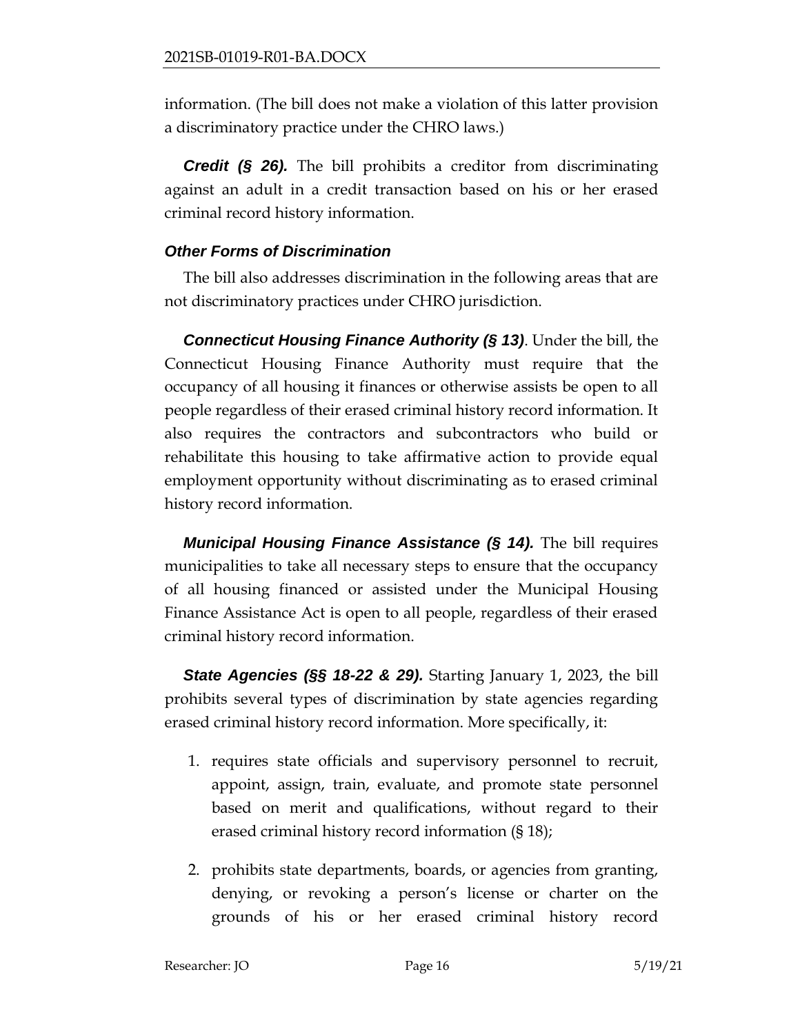information. (The bill does not make a violation of this latter provision a discriminatory practice under the CHRO laws.)

*Credit (§ 26).* The bill prohibits a creditor from discriminating against an adult in a credit transaction based on his or her erased criminal record history information.

# *Other Forms of Discrimination*

The bill also addresses discrimination in the following areas that are not discriminatory practices under CHRO jurisdiction.

*Connecticut Housing Finance Authority (§ 13)*. Under the bill, the Connecticut Housing Finance Authority must require that the occupancy of all housing it finances or otherwise assists be open to all people regardless of their erased criminal history record information. It also requires the contractors and subcontractors who build or rehabilitate this housing to take affirmative action to provide equal employment opportunity without discriminating as to erased criminal history record information.

*Municipal Housing Finance Assistance (§ 14).* The bill requires municipalities to take all necessary steps to ensure that the occupancy of all housing financed or assisted under the Municipal Housing Finance Assistance Act is open to all people, regardless of their erased criminal history record information.

**State Agencies (§§ 18-22 & 29).** Starting January 1, 2023, the bill prohibits several types of discrimination by state agencies regarding erased criminal history record information. More specifically, it:

- 1. requires state officials and supervisory personnel to recruit, appoint, assign, train, evaluate, and promote state personnel based on merit and qualifications, without regard to their erased criminal history record information (§ 18);
- 2. prohibits state departments, boards, or agencies from granting, denying, or revoking a person's license or charter on the grounds of his or her erased criminal history record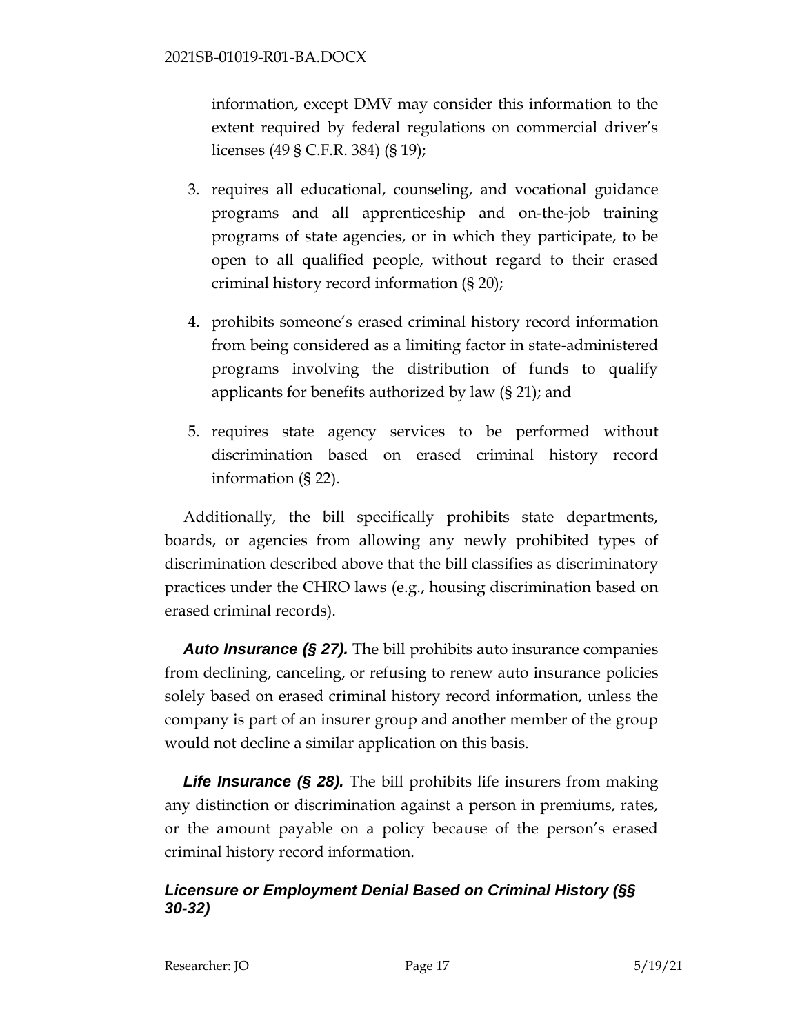information, except DMV may consider this information to the extent required by federal regulations on commercial driver's licenses (49 § C.F.R. 384) (§ 19);

- 3. requires all educational, counseling, and vocational guidance programs and all apprenticeship and on-the-job training programs of state agencies, or in which they participate, to be open to all qualified people, without regard to their erased criminal history record information (§ 20);
- 4. prohibits someone's erased criminal history record information from being considered as a limiting factor in state-administered programs involving the distribution of funds to qualify applicants for benefits authorized by law (§ 21); and
- 5. requires state agency services to be performed without discrimination based on erased criminal history record information (§ 22).

Additionally, the bill specifically prohibits state departments, boards, or agencies from allowing any newly prohibited types of discrimination described above that the bill classifies as discriminatory practices under the CHRO laws (e.g., housing discrimination based on erased criminal records).

*Auto Insurance (§ 27).* The bill prohibits auto insurance companies from declining, canceling, or refusing to renew auto insurance policies solely based on erased criminal history record information, unless the company is part of an insurer group and another member of the group would not decline a similar application on this basis.

**Life Insurance (§ 28).** The bill prohibits life insurers from making any distinction or discrimination against a person in premiums, rates, or the amount payable on a policy because of the person's erased criminal history record information.

# *Licensure or Employment Denial Based on Criminal History (§§ 30-32)*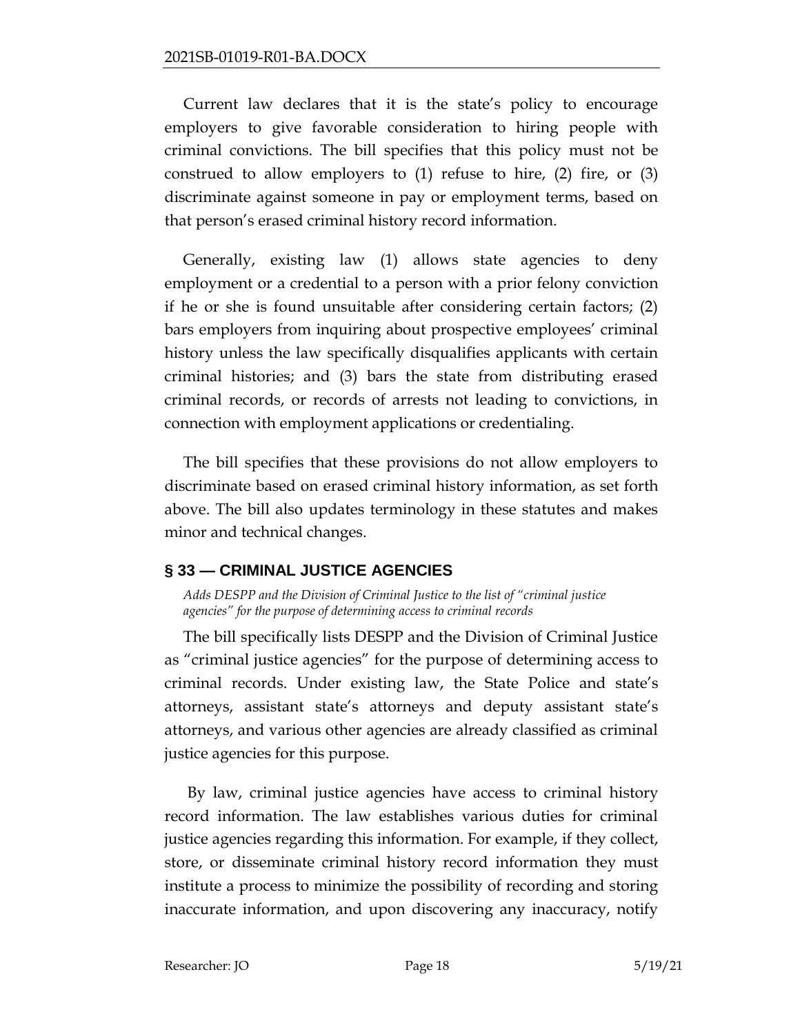Current law declares that it is the state's policy to encourage employers to give favorable consideration to hiring people with criminal convictions. The bill specifies that this policy must not be construed to allow employers to  $(1)$  refuse to hire,  $(2)$  fire, or  $(3)$ discriminate against someone in pay or employment terms, based on that person's erased criminal history record information.

Generally, existing law (1) allows state agencies to deny employment or a credential to a person with a prior felony conviction if he or she is found unsuitable after considering certain factors; (2) bars employers from inquiring about prospective employees' criminal history unless the law specifically disqualifies applicants with certain criminal histories; and (3) bars the state from distributing erased criminal records, or records of arrests not leading to convictions, in connection with employment applications or credentialing.

The bill specifies that these provisions do not allow employers to discriminate based on erased criminal history information, as set forth above. The bill also updates terminology in these statutes and makes minor and technical changes.

# <span id="page-17-0"></span>**§ 33 — CRIMINAL JUSTICE AGENCIES**

<span id="page-17-1"></span>*Adds DESPP and the Division of Criminal Justice to the list of "criminal justice agencies" for the purpose of determining access to criminal records*

The bill specifically lists DESPP and the Division of Criminal Justice as "criminal justice agencies" for the purpose of determining access to criminal records. Under existing law, the State Police and state's attorneys, assistant state's attorneys and deputy assistant state's attorneys, and various other agencies are already classified as criminal justice agencies for this purpose.

By law, criminal justice agencies have access to criminal history record information. The law establishes various duties for criminal justice agencies regarding this information. For example, if they collect, store, or disseminate criminal history record information they must institute a process to minimize the possibility of recording and storing inaccurate information, and upon discovering any inaccuracy, notify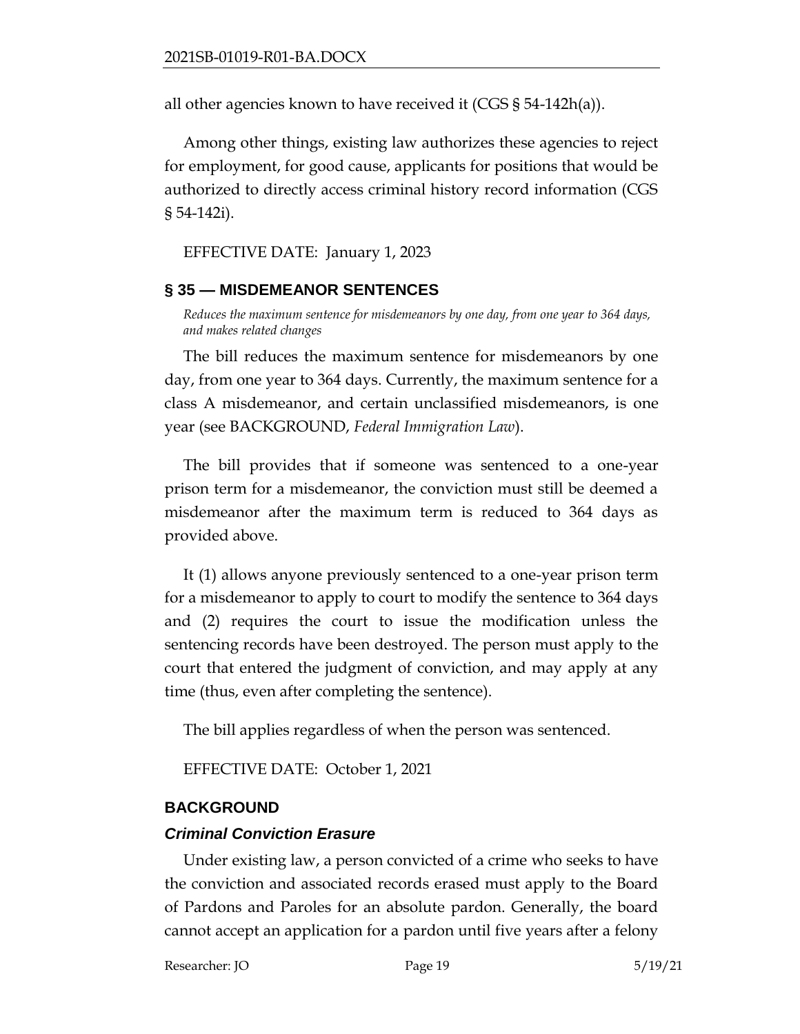all other agencies known to have received it (CGS § 54-142h(a)).

Among other things, existing law authorizes these agencies to reject for employment, for good cause, applicants for positions that would be authorized to directly access criminal history record information (CGS § 54-142i).

EFFECTIVE DATE: January 1, 2023

#### <span id="page-18-0"></span>**§ 35 — MISDEMEANOR SENTENCES**

<span id="page-18-1"></span>*Reduces the maximum sentence for misdemeanors by one day, from one year to 364 days, and makes related changes*

The bill reduces the maximum sentence for misdemeanors by one day, from one year to 364 days. Currently, the maximum sentence for a class A misdemeanor, and certain unclassified misdemeanors, is one year (see BACKGROUND, *Federal Immigration Law*).

The bill provides that if someone was sentenced to a one-year prison term for a misdemeanor, the conviction must still be deemed a misdemeanor after the maximum term is reduced to 364 days as provided above.

It (1) allows anyone previously sentenced to a one-year prison term for a misdemeanor to apply to court to modify the sentence to 364 days and (2) requires the court to issue the modification unless the sentencing records have been destroyed. The person must apply to the court that entered the judgment of conviction, and may apply at any time (thus, even after completing the sentence).

The bill applies regardless of when the person was sentenced.

EFFECTIVE DATE: October 1, 2021

#### <span id="page-18-2"></span>**BACKGROUND**

#### *Criminal Conviction Erasure*

Under existing law, a person convicted of a crime who seeks to have the conviction and associated records erased must apply to the Board of Pardons and Paroles for an absolute pardon. Generally, the board cannot accept an application for a pardon until five years after a felony

Researcher: JO Page 19 5/19/21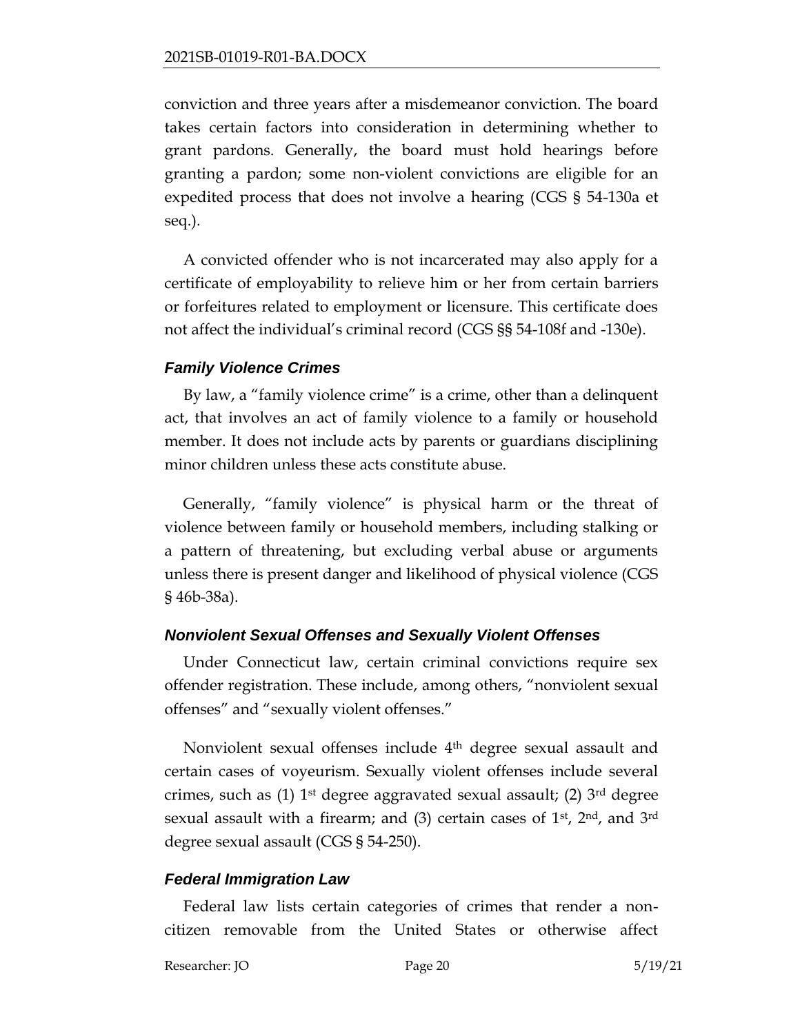conviction and three years after a misdemeanor conviction. The board takes certain factors into consideration in determining whether to grant pardons. Generally, the board must hold hearings before granting a pardon; some non-violent convictions are eligible for an expedited process that does not involve a hearing (CGS § 54-130a et seq.).

A convicted offender who is not incarcerated may also apply for a certificate of employability to relieve him or her from certain barriers or forfeitures related to employment or licensure. This certificate does not affect the individual's criminal record (CGS §§ 54-108f and -130e).

### *Family Violence Crimes*

By law, a "family violence crime" is a crime, other than a delinquent act, that involves an act of family violence to a family or household member. It does not include acts by parents or guardians disciplining minor children unless these acts constitute abuse.

Generally, "family violence" is physical harm or the threat of violence between family or household members, including stalking or a pattern of threatening, but excluding verbal abuse or arguments unless there is present danger and likelihood of physical violence (CGS § 46b-38a).

# *Nonviolent Sexual Offenses and Sexually Violent Offenses*

Under Connecticut law, certain criminal convictions require sex offender registration. These include, among others, "nonviolent sexual offenses" and "sexually violent offenses."

Nonviolent sexual offenses include 4th degree sexual assault and certain cases of voyeurism. Sexually violent offenses include several crimes, such as  $(1)$  1<sup>st</sup> degree aggravated sexual assault;  $(2)$  3<sup>rd</sup> degree sexual assault with a firearm; and (3) certain cases of 1<sup>st</sup>, 2<sup>nd</sup>, and 3<sup>rd</sup> degree sexual assault (CGS § 54-250).

# *Federal Immigration Law*

Federal law lists certain categories of crimes that render a noncitizen removable from the United States or otherwise affect

Researcher: JO Bage 20 5/19/21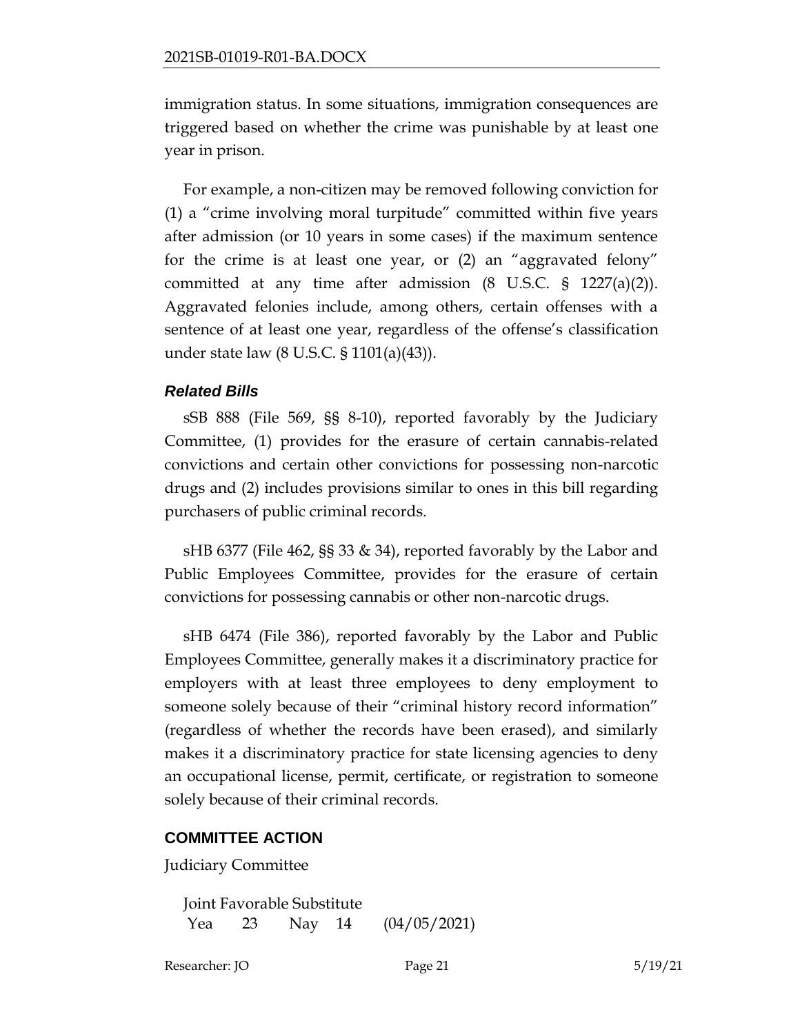immigration status. In some situations, immigration consequences are triggered based on whether the crime was punishable by at least one year in prison.

For example, a non-citizen may be removed following conviction for (1) a "crime involving moral turpitude" committed within five years after admission (or 10 years in some cases) if the maximum sentence for the crime is at least one year, or (2) an "aggravated felony" committed at any time after admission (8 U.S.C. § 1227(a)(2)). Aggravated felonies include, among others, certain offenses with a sentence of at least one year, regardless of the offense's classification under state law (8 U.S.C. § 1101(a)(43)).

### *Related Bills*

sSB 888 (File 569, §§ 8-10), reported favorably by the Judiciary Committee, (1) provides for the erasure of certain cannabis-related convictions and certain other convictions for possessing non-narcotic drugs and (2) includes provisions similar to ones in this bill regarding purchasers of public criminal records.

sHB 6377 (File 462, §§ 33 & 34), reported favorably by the Labor and Public Employees Committee, provides for the erasure of certain convictions for possessing cannabis or other non-narcotic drugs.

sHB 6474 (File 386), reported favorably by the Labor and Public Employees Committee, generally makes it a discriminatory practice for employers with at least three employees to deny employment to someone solely because of their "criminal history record information" (regardless of whether the records have been erased), and similarly makes it a discriminatory practice for state licensing agencies to deny an occupational license, permit, certificate, or registration to someone solely because of their criminal records.

### **COMMITTEE ACTION**

Judiciary Committee

Joint Favorable Substitute Yea 23 Nay 14 (04/05/2021)

Researcher: JO Page 21 5/19/21